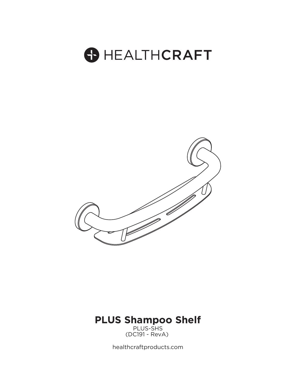



PLUS-SHS (DC191 - RevA) **PLUS-SHS** 

healthcraftproducts.com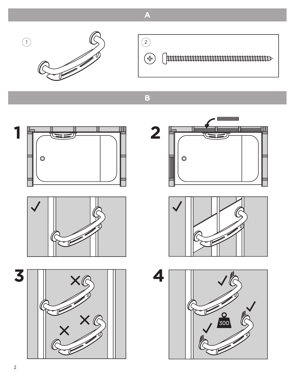

 $\circled{2}$  $\left(\begin{matrix} \begin{smallmatrix} 1 \ -1 \end{smallmatrix}\right)$ 

**Thuunnummummummummummu** 

 $\overline{\mathbf{B}}$ 

 $\overline{\mathbf{A}}$ 





3







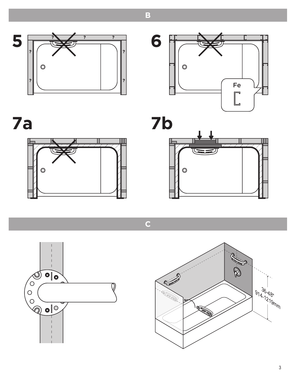



7a





 $\overline{\mathsf{C}}$ 





 $\overline{\mathbf{B}}$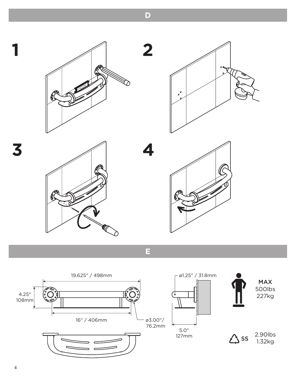$\overline{D}$ 

2

4









E



3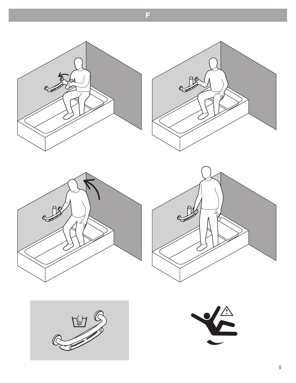



F.







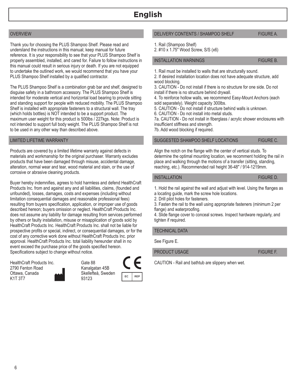# OVERVIEW

Thank you for choosing the PLUS Shampoo Shelf. Please read and understand the instructions in this manual; keep manual for future reference. It is your responsibility to see that your PLUS Shampoo Shelf is properly assembled, installed, and cared for. Failure to follow instructions in this manual could result in serious injury or death. If you are not equipped to undertake the outlined work, we would recommend that you have your PLUS Shampoo Shelf installed by a qualified contractor.

The PLUS Shampoo Shelf is a combination grab bar and shelf, designed to disguise safety in a bathroom accessory. The PLUS Shampoo Shelf is intended for moderate vertical and horizontal load bearing to provide sitting and standing support for people with reduced mobility. The PLUS Shampoo Shelf is installed with appropriate fasteners to a structural wall. The tray (which holds bottles) is NOT intended to be a support product. The maximum user weight for this product is 500lbs / 227kgs. Note: Product is not intended to support full body weight. The PLUS Shampoo Shelf is not to be used in any other way than described above.

## LIMITED LIFETIME WARRANTY

Products are covered by a limited lifetime warranty against defects in materials and workmanship for the original purchaser. Warranty excludes products that have been damaged through misuse, accidental damage, alteration, normal wear and tear, wood material and stain, or the use of corrosive or abrasive cleaning products.

Buyer hereby indemnifies, agrees to hold harmless and defend HealthCraft Products Inc. from and against any and all liabilities, claims, (founded and unfounded), losses, damages, costs and expenses (including without limitation consequential damages and reasonable professional fees) resulting from buyers specification, application, or improper use of goods described hereon; buyers omission or neglect. HealthCraft Products Inc. does not assume any liability for damage resulting from services performed by others or faulty installation, misuse or misapplication of goods sold by HealthCraft Products Inc. HealthCraft Products Inc. shall not be liable for prospective profits or special, indirect, or consequential damages, or for the cost of any corrective work done without HealthCraft Products Inc. prior approval. HealthCraft Products Inc. total liability hereunder shall in no event exceed the purchase price of the goods specified hereon. Specifications subject to change without notice.

HealthCraft Products Inc. 2790 Fenton Road Ottawa, Canada K1T 3T7

Kanalgatan 45B Skellefteå, Sweden



### DELIVERY CONTENTS / SHAMPOO SHELF FIGURE A.

1. Rail (Shampoo Shelf)

2. #10 x 1.75" Wood Screw, S/S (x6)

### INSTALLATION WARNINGS FIGURE B.

1. Rail must be installed to walls that are structurally sound.

2. If desired installation location does not have adequate structure, add wood blocking.

3. CAUTION - Do not install if there is no structure for one side. Do not install if there is no structure behind drywall.

4. To reinforce hollow walls, we recommend Easy-Mount Anchors (each sold separately). Weight capacity 300lbs.

5. CAUTION - Do not install if structure behind walls is unknown.

6. CAUTION - Do not install into metal studs.

7a. CAUTION - Do not install in fiberglass / acrylic shower enclosures with insufficient stiffness and strength.

7b. Add wood blocking if required.

### SUGGESTED SHAMPOO SHELF LOCATIONS FIGURE C.

Align the notch on the flange with the center of vertical studs. To determine the optimal mounting location, we recomment holding the rail in place and walking through the motions of a transfer (sitting, standing, reaching, etc.). Recommended rail height 36-48" / 914-1219mm.

### INSTALLATION **FIGURE D.**

1. Hold the rail against the wall and adjust with level. Using the flanges as

a locating guide, mark the screw hole locations.

2. Drill pilot holes for fasteners.

3. Fasten the rail to the wall using appropriate fasteners (minimum 2 per flange) and waterproofing.

4. Slide flange cover to conceal screws. Inspect hardware regularly, and tighten if required.

### TECHNICAL DATA

See Figure E.

PRODUCT USAGE FIGURE F.

Gate 88 **CAUTION** - Rail and bathtub are slippery when wet.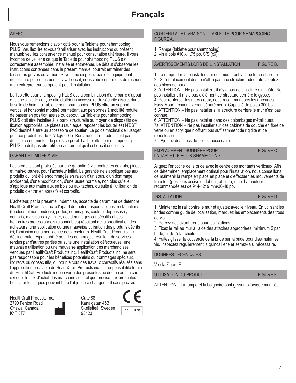## APERÇU

Nous vous remercions d'avoir opté pour la Tablette pour shampooing PLUS. Veuillez lire et vous familiariser avec les instructions du présent manuel; veuillez conserver ce manuel pour consultation ultérieure. Il vous incombe de veiller à ce que la Tablette pour shampooing PLUS est correctement assemblée, installée et entretenue. Le défaut d'observer les instructions contenues dans le présent manuel pourrait entraîner des blessures graves ou la mort. Si vous ne disposez pas de l'équipement nécessaire pour effectuer le travail décrit, nous vous conseillons de recourir à un entrepreneur compétent pour l'installation.

La Tablette pour shampooing PLUS est la combinaison d'une barre d'appui et d'une tablette conçue afin d'offrir un accessoire de sécurité discret dans la salle de bain. La Tablette pour shampooing PLUS offre un support vertical et horizontal modéré permettant aux personnes à mobilité réduite de passer en position assise ou debout. La Tablette pour shampooing PLUS doit être installée à la paroi structurelle au moyen de dispositifs de fixation appropriés. Le plateau (sur lequel reposent les bouteilles) N'EST PAS destiné à être un accessoire de soutien. Le poids maximal de l'usager pour ce produit est de 227 kg/500 lb. Remarque : Le produit n'est pas destiné à soutenir tout le poids corporel. La Tablette pour shampooing PLUS ne doit pas être utilisée autrement qu'il est décrit ci-dessus.

## GARANTIE LIMITÉE À VIE

Les produits sont protégés par une garantie à vie contre les défauts, pièces et main-d'œuvre, pour l'acheteur initial. La garantie ne s'applique pas aux produits qui ont été endommagés en raison d'un abus, d'un dommage accidentel, d'une modification, d'une usure normale, non plus qu'elle s'applique aux matériaux en bois ou aux taches, ou suite à l'utilisation de produits d'entretien abrasifs et corrosifs.

L'acheteur, par la présente, indemnise, accepte de garantir et de défendre HealthCraft Products inc. à l'égard de toutes responsabilités, réclamations (fondées et non fondées), pertes, dommages, coûts et dépenses (y compris, mais sans s'y limiter, des dommages consécutifs et des honoraires professionnels raisonnables) résultant de la spécification des acheteurs, une application ou une mauvaise utilisation des produits décrits ici; l'omission ou la négligence des acheteurs. HealthCraft Products inc. décline toute responsabilité pour les dommages résultant de services rendus par d'autres parties ou suite une installation défectueuse, une mauvaise utilisation ou une mauvaise application des marchandises vendues par HealthCraft Products inc. HealthCraft Products inc. ne sera pas responsable pour les bénéfices potentiels ou dommages spéciaux, indirects ou consécutifs, ou pour le coût des travaux correctifs réalisés sans l'approbation préalable de HealthCraft Products inc. La responsabilité totale de HealthCraft Products inc. en vertu des présentes ne doit en aucun cas excéder le prix d'achat des marchandises, tel que précisé aux présentes. Les caractéristiques peuvent faire l'objet de à changement sans préavis.

HealthCraft Products Inc. 2790 Fenton Road Ottawa, Canada K1T 3T7





## CONTENU À LA LIVRAISON – TABLETTE POUR SHAMPOOING FIGURE A.

1. Rampe (tablette pour shampooing)

2. Vis à bois #10 x 1.75 po, S/S (x6)

# AVERTISSEMENTS LORS DE L'INSTALLATION FIGURE B.

1. La rampe doit être installée sur des murs dont la structure est solide. 2. Si l'emplacement désiré n'offre pas une structure adéquate, ajoutez des blocs de bois.

3. ATTENTION – Ne pas installer s'il n'y a pas de structure d'un côté. Ne pas installer s'il n'y a pas d'élément de structure derrière le gypse. 4. Pour renforcer les murs creux, nous recommandons les ancrages Easy-Mount (chacun vendu séparément). Capacité de poids 300lbs. 5. ATTENTION – Ne pas installer si la structure derrière le mur n'est pas connue.

6. ATTENTION – Ne pas installer dans des colombages métalliques. 7a. ATTENTION – Ne pas installer sur des cabinets de douche en fibre de verre ou en acrylique n'offrant pas suffisamment de rigidité et de robustesse.

7b. Ajoutez des blocs de bois si nécessaire.

EMPLACEMENT SUGGÉRÉ POUR FIGURE C. LA TABLETTE POUR SHAMPOOING

Alignez l'encoche de la bride avec le centre des montants verticaux. Afin de déterminer l'emplacement optimal pour l'installation, nous conseillons de maintenir la rampe en place en place et d'effectuer les mouvements de transfert (positions assise et debout, atteinte, etc.). La hauteur recommandée est de 914-1219 mm/36-48 po.

## INSTALLATION FIGURE D.

1. Maintenez le rail contre le mur et ajustez avec le niveau. En utilisant les brides comme guide de localisation, marquez les emplacements des trous de vis.

2. Percez des avant-trous pour les fixations.

3. Fixez le rail au mur à l'aide des attaches appropriées (minimum 2 par bride) et de l'étanchéité.

4. Faites glisser le couvercle de la bride sur la bride pour dissimuler les vis. Inspectez régulièrement la quincaillerie et serrez-la si nécessaire.

# DONNÉES TECHNIQUES

Voir la Figure E.

# UTILISATION DU PRODUIT FIGURE F.

ATTENTION – La rampe et la baignoire sont glissants lorsque mouillés.